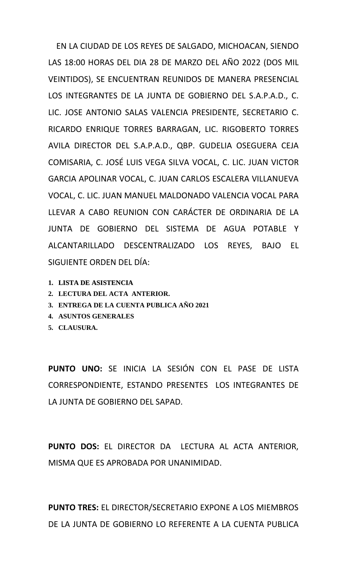EN LA CIUDAD DE LOS REYES DE SALGADO, MICHOACAN, SIENDO LAS 18:00 HORAS DEL DIA 28 DE MARZO DEL AÑO 2022 (DOS MIL VEINTIDOS), SE ENCUENTRAN REUNIDOS DE MANERA PRESENCIAL LOS INTEGRANTES DE LA JUNTA DE GOBIERNO DEL S.A.P.A.D., C. LIC. JOSE ANTONIO SALAS VALENCIA PRESIDENTE, SECRETARIO C. RICARDO ENRIQUE TORRES BARRAGAN, LIC. RIGOBERTO TORRES AVILA DIRECTOR DEL S.A.P.A.D., QBP. GUDELIA OSEGUERA CEJA COMISARIA, C. JOSÉ LUIS VEGA SILVA VOCAL, C. LIC. JUAN VICTOR GARCIA APOLINAR VOCAL, C. JUAN CARLOS ESCALERA VILLANUEVA VOCAL, C. LIC. JUAN MANUEL MALDONADO VALENCIA VOCAL PARA LLEVAR A CABO REUNION CON CARÁCTER DE ORDINARIA DE LA JUNTA DE GOBIERNO DEL SISTEMA DE AGUA POTABLE Y ALCANTARILLADO DESCENTRALIZADO LOS REYES, BAJO EL SIGUIENTE ORDEN DEL DÍA:

- **1. LISTA DE ASISTENCIA**
- **2. LECTURA DEL ACTA ANTERIOR.**
- **3. ENTREGA DE LA CUENTA PUBLICA AÑO 2021**
- **4. ASUNTOS GENERALES**
- **5. CLAUSURA.**

**PUNTO UNO:** SE INICIA LA SESIÓN CON EL PASE DE LISTA CORRESPONDIENTE, ESTANDO PRESENTES LOS INTEGRANTES DE LA JUNTA DE GOBIERNO DEL SAPAD.

**PUNTO DOS:** EL DIRECTOR DA LECTURA AL ACTA ANTERIOR, MISMA QUE ES APROBADA POR UNANIMIDAD.

**PUNTO TRES:** EL DIRECTOR/SECRETARIO EXPONE A LOS MIEMBROS DE LA JUNTA DE GOBIERNO LO REFERENTE A LA CUENTA PUBLICA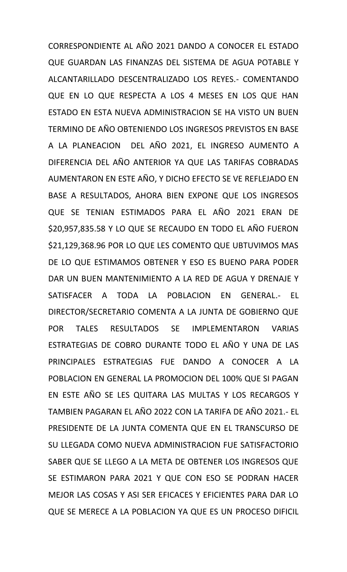CORRESPONDIENTE AL AÑO 2021 DANDO A CONOCER EL ESTADO QUE GUARDAN LAS FINANZAS DEL SISTEMA DE AGUA POTABLE Y ALCANTARILLADO DESCENTRALIZADO LOS REYES.- COMENTANDO QUE EN LO QUE RESPECTA A LOS 4 MESES EN LOS QUE HAN ESTADO EN ESTA NUEVA ADMINISTRACION SE HA VISTO UN BUEN TERMINO DE AÑO OBTENIENDO LOS INGRESOS PREVISTOS EN BASE A LA PLANEACION DEL AÑO 2021, EL INGRESO AUMENTO A DIFERENCIA DEL AÑO ANTERIOR YA QUE LAS TARIFAS COBRADAS AUMENTARON EN ESTE AÑO, Y DICHO EFECTO SE VE REFLEJADO EN BASE A RESULTADOS, AHORA BIEN EXPONE QUE LOS INGRESOS QUE SE TENIAN ESTIMADOS PARA EL AÑO 2021 ERAN DE \$20,957,835.58 Y LO QUE SE RECAUDO EN TODO EL AÑO FUERON \$21,129,368.96 POR LO QUE LES COMENTO QUE UBTUVIMOS MAS DE LO QUE ESTIMAMOS OBTENER Y ESO ES BUENO PARA PODER DAR UN BUEN MANTENIMIENTO A LA RED DE AGUA Y DRENAJE Y SATISFACER A TODA LA POBLACION EN GENERAL.- EL DIRECTOR/SECRETARIO COMENTA A LA JUNTA DE GOBIERNO QUE POR TALES RESULTADOS SE IMPLEMENTARON VARIAS ESTRATEGIAS DE COBRO DURANTE TODO EL AÑO Y UNA DE LAS PRINCIPALES ESTRATEGIAS FUE DANDO A CONOCER A LA POBLACION EN GENERAL LA PROMOCION DEL 100% QUE SI PAGAN EN ESTE AÑO SE LES QUITARA LAS MULTAS Y LOS RECARGOS Y TAMBIEN PAGARAN EL AÑO 2022 CON LA TARIFA DE AÑO 2021.- EL PRESIDENTE DE LA JUNTA COMENTA QUE EN EL TRANSCURSO DE SU LLEGADA COMO NUEVA ADMINISTRACION FUE SATISFACTORIO SABER QUE SE LLEGO A LA META DE OBTENER LOS INGRESOS QUE SE ESTIMARON PARA 2021 Y QUE CON ESO SE PODRAN HACER MEJOR LAS COSAS Y ASI SER EFICACES Y EFICIENTES PARA DAR LO QUE SE MERECE A LA POBLACION YA QUE ES UN PROCESO DIFICIL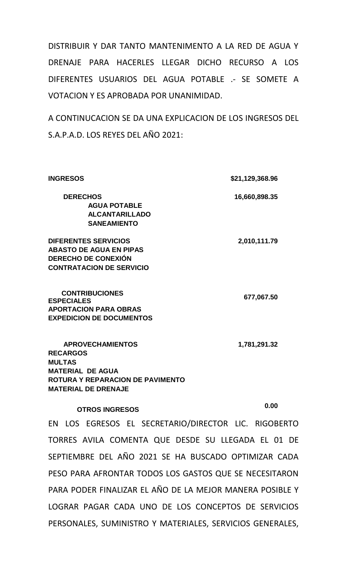DISTRIBUIR Y DAR TANTO MANTENIMENTO A LA RED DE AGUA Y DRENAJE PARA HACERLES LLEGAR DICHO RECURSO A LOS DIFERENTES USUARIOS DEL AGUA POTABLE .- SE SOMETE A VOTACION Y ES APROBADA POR UNANIMIDAD.

A CONTINUCACION SE DA UNA EXPLICACION DE LOS INGRESOS DEL S.A.P.A.D. LOS REYES DEL AÑO 2021:

| <b>INGRESOS</b>                                                                                                                                          | \$21,129,368.96 |
|----------------------------------------------------------------------------------------------------------------------------------------------------------|-----------------|
| <b>DERECHOS</b><br><b>AGUA POTABLE</b><br><b>ALCANTARILLADO</b><br><b>SANEAMIENTO</b>                                                                    | 16,660,898.35   |
| <b>DIFERENTES SERVICIOS</b><br><b>ABASTO DE AGUA EN PIPAS</b><br><b>DERECHO DE CONEXIÓN</b><br><b>CONTRATACION DE SERVICIO</b>                           | 2,010,111.79    |
| <b>CONTRIBUCIONES</b><br><b>ESPECIALES</b><br><b>APORTACION PARA OBRAS</b><br><b>EXPEDICION DE DOCUMENTOS</b>                                            | 677,067.50      |
| <b>APROVECHAMIENTOS</b><br><b>RECARGOS</b><br><b>MULTAS</b><br><b>MATERIAL DE AGUA</b><br>ROTURA Y REPARACION DE PAVIMENTO<br><b>MATERIAL DE DRENAJE</b> | 1,781,291.32    |

# **OTROS INGRESOS 0.00**

EN LOS EGRESOS EL SECRETARIO/DIRECTOR LIC. RIGOBERTO TORRES AVILA COMENTA QUE DESDE SU LLEGADA EL 01 DE SEPTIEMBRE DEL AÑO 2021 SE HA BUSCADO OPTIMIZAR CADA PESO PARA AFRONTAR TODOS LOS GASTOS QUE SE NECESITARON PARA PODER FINALIZAR EL AÑO DE LA MEJOR MANERA POSIBLE Y LOGRAR PAGAR CADA UNO DE LOS CONCEPTOS DE SERVICIOS PERSONALES, SUMINISTRO Y MATERIALES, SERVICIOS GENERALES,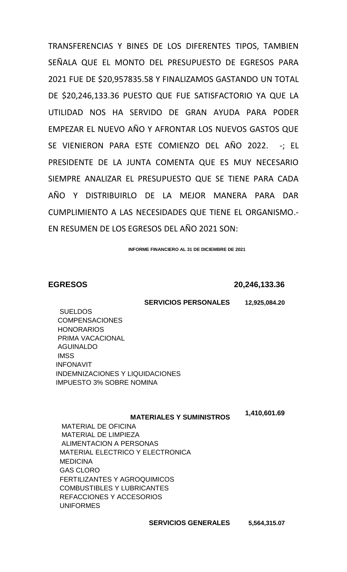TRANSFERENCIAS Y BINES DE LOS DIFERENTES TIPOS, TAMBIEN SEÑALA QUE EL MONTO DEL PRESUPUESTO DE EGRESOS PARA 2021 FUE DE \$20,957835.58 Y FINALIZAMOS GASTANDO UN TOTAL DE \$20,246,133.36 PUESTO QUE FUE SATISFACTORIO YA QUE LA UTILIDAD NOS HA SERVIDO DE GRAN AYUDA PARA PODER EMPEZAR EL NUEVO AÑO Y AFRONTAR LOS NUEVOS GASTOS QUE SE VIENIERON PARA ESTE COMIENZO DEL AÑO 2022. -; EL PRESIDENTE DE LA JUNTA COMENTA QUE ES MUY NECESARIO SIEMPRE ANALIZAR EL PRESUPUESTO QUE SE TIENE PARA CADA AÑO Y DISTRIBUIRLO DE LA MEJOR MANERA PARA DAR CUMPLIMIENTO A LAS NECESIDADES QUE TIENE EL ORGANISMO.- EN RESUMEN DE LOS EGRESOS DEL AÑO 2021 SON:

**INFORME FINANCIERO AL 31 DE DICIEMBRE DE 2021**

### **EGRESOS 20,246,133.36**

#### **SERVICIOS PERSONALES 12,925,084.20**

 SUELDOS COMPENSACIONES HONORARIOS PRIMA VACACIONAL AGUINALDO **IMSS**  INFONAVIT INDEMNIZACIONES Y LIQUIDACIONES IMPUESTO 3% SOBRE NOMINA

#### **MATERIALES Y SUMINISTROS**

 **1,410,601.69**

 MATERIAL DE OFICINA MATERIAL DE LIMPIEZA ALIMENTACION A PERSONAS MATERIAL ELECTRICO Y ELECTRONICA **MEDICINA**  GAS CLORO FERTILIZANTES Y AGROQUIMICOS COMBUSTIBLES Y LUBRICANTES REFACCIONES Y ACCESORIOS UNIFORMES

 **SERVICIOS GENERALES 5,564,315.07**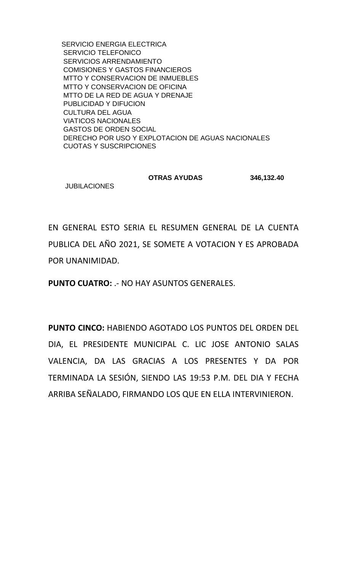SERVICIO ENERGIA ELECTRICA SERVICIO TELEFONICO SERVICIOS ARRENDAMIENTO COMISIONES Y GASTOS FINANCIEROS MTTO Y CONSERVACION DE INMUEBLES MTTO Y CONSERVACION DE OFICINA MTTO DE LA RED DE AGUA Y DRENAJE PUBLICIDAD Y DIFUCION CULTURA DEL AGUA VIATICOS NACIONALES GASTOS DE ORDEN SOCIAL DERECHO POR USO Y EXPLOTACION DE AGUAS NACIONALES CUOTAS Y SUSCRIPCIONES

#### **OTRAS AYUDAS 346,132.40 JUBILACIONES**

EN GENERAL ESTO SERIA EL RESUMEN GENERAL DE LA CUENTA PUBLICA DEL AÑO 2021, SE SOMETE A VOTACION Y ES APROBADA POR UNANIMIDAD.

**PUNTO CUATRO:** .- NO HAY ASUNTOS GENERALES.

**PUNTO CINCO:** HABIENDO AGOTADO LOS PUNTOS DEL ORDEN DEL DIA, EL PRESIDENTE MUNICIPAL C. LIC JOSE ANTONIO SALAS VALENCIA, DA LAS GRACIAS A LOS PRESENTES Y DA POR TERMINADA LA SESIÓN, SIENDO LAS 19:53 P.M. DEL DIA Y FECHA ARRIBA SEÑALADO, FIRMANDO LOS QUE EN ELLA INTERVINIERON.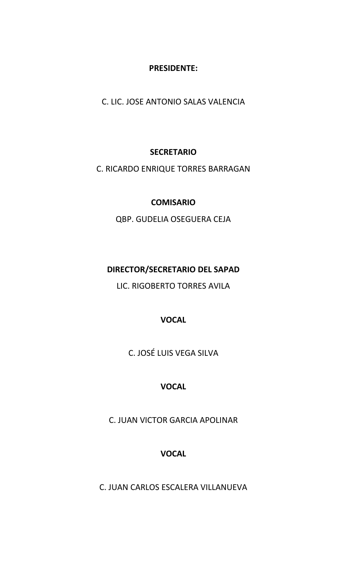## **PRESIDENTE:**

C. LIC. JOSE ANTONIO SALAS VALENCIA

## **SECRETARIO**

C. RICARDO ENRIQUE TORRES BARRAGAN

## **COMISARIO**

QBP. GUDELIA OSEGUERA CEJA

# **DIRECTOR/SECRETARIO DEL SAPAD**

LIC. RIGOBERTO TORRES AVILA

# **VOCAL**

C. JOSÉ LUIS VEGA SILVA

# **VOCAL**

C. JUAN VICTOR GARCIA APOLINAR

# **VOCAL**

C. JUAN CARLOS ESCALERA VILLANUEVA